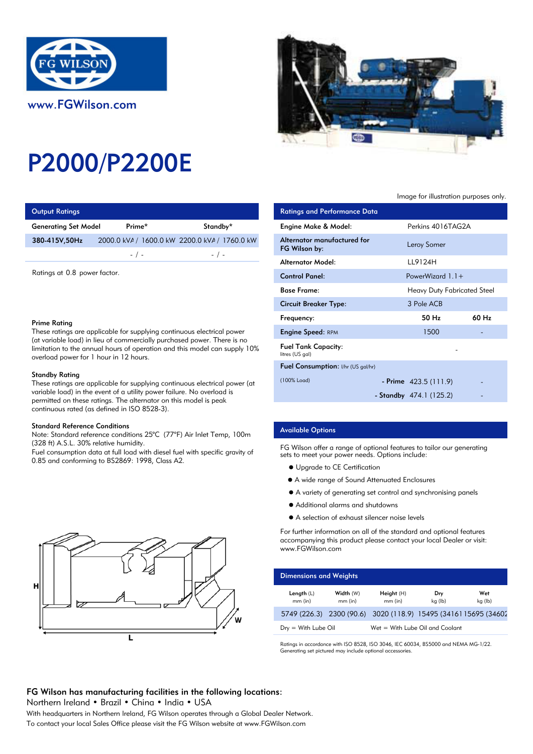

# P2000/P2200E

| <b>Output Ratings</b>       |           |                                               | <b>Ratings and Performance Data</b> |
|-----------------------------|-----------|-----------------------------------------------|-------------------------------------|
| <b>Generating Set Model</b> | Prime*    | Standby*                                      | Engine Make & Model:                |
| 380-415V,50Hz               |           | 2000.0 kVA / 1600.0 kW 2200.0 kVA / 1760.0 kW | Alternator manufactured for         |
|                             | $-$ / $-$ | $-$ / $-$                                     | FG Wilson by:                       |
|                             |           |                                               | Alternator Model:                   |

Ratings at 0.8 power factor.

## Prime Rating

These ratings are applicable for supplying continuous electrical power (at variable load) in lieu of commercially purchased power. There is no limitation to the annual hours of operation and this model can supply 10% overload power for 1 hour in 12 hours.

### Standby Rating

These ratings are applicable for supplying continuous electrical power (at variable load) in the event of a utility power failure. No overload is permitted on these ratings. The alternator on this model is peak continuous rated (as defined in ISO 8528-3).

#### Standard Reference Conditions

Note: Standard reference conditions 25°C (77°F) Air Inlet Temp, 100m (328 ft) A.S.L. 30% relative humidity.

Fuel consumption data at full load with diesel fuel with specific gravity of 0.85 and conforming to BS2869: 1998, Class A2.





## Image for illustration purposes only.

| ings                                                                                                                                                                                                                                                                                                  |           |                                               | <b>Ratings and Performance Data</b>          |                                    |       |
|-------------------------------------------------------------------------------------------------------------------------------------------------------------------------------------------------------------------------------------------------------------------------------------------------------|-----------|-----------------------------------------------|----------------------------------------------|------------------------------------|-------|
| Set Model                                                                                                                                                                                                                                                                                             | Prime*    | Standby*                                      | Engine Make & Model:                         | Perkins 4016TAG2A                  |       |
| 50Hz                                                                                                                                                                                                                                                                                                  |           | 2000.0 kVA / 1600.0 kW 2200.0 kVA / 1760.0 kW | Alternator manufactured for<br>FG Wilson by: | Leroy Somer                        |       |
|                                                                                                                                                                                                                                                                                                       | $-$ / $-$ | $-$ / $-$                                     | <b>Alternator Model:</b>                     | LL9124H                            |       |
| 0.8 power factor.                                                                                                                                                                                                                                                                                     |           |                                               | <b>Control Panel:</b>                        | PowerWizard $1.1 +$                |       |
|                                                                                                                                                                                                                                                                                                       |           |                                               | <b>Base Frame:</b>                           | <b>Heavy Duty Fabricated Steel</b> |       |
| ٦g<br>gs are applicable for supplying continuous electrical power                                                                                                                                                                                                                                     |           |                                               | <b>Circuit Breaker Type:</b>                 | 3 Pole ACB                         |       |
|                                                                                                                                                                                                                                                                                                       |           |                                               | Frequency:                                   | 50 Hz                              | 60 Hz |
|                                                                                                                                                                                                                                                                                                       |           |                                               | <b>Engine Speed: RPM</b>                     | 1500                               |       |
| load) in lieu of commercially purchased power. There is no<br>o the annual hours of operation and this model can supply 10%<br>wer for 1 hour in 12 hours.<br>ıting<br>gs are applicable for supplying continuous electrical power (at<br>id) in the event of a utility power failure. No overload is |           | <b>Fuel Tank Capacity:</b><br>litres (US gal) |                                              |                                    |       |
|                                                                                                                                                                                                                                                                                                       |           | Fuel Consumption: I/hr (US gal/hr)            |                                              |                                    |       |
|                                                                                                                                                                                                                                                                                                       |           | (100% Load)                                   | - Prime $423.5(111.9)$                       |                                    |       |
|                                                                                                                                                                                                                                                                                                       |           |                                               | - Standby $474.1(125.2)$                     |                                    |       |

## Available Options

FG Wilson offer a range of optional features to tailor our generating sets to meet your power needs. Options include:

- $\bullet$  Upgrade to CE Certification
- A wide range of Sound Attenuated Enclosures
- A variety of generating set control and synchronising panels
- Additional alarms and shutdowns
- A selection of exhaust silencer noise levels

For further information on all of the standard and optional features accompanying this product please contact your local Dealer or visit: www.FGWilson.com

| <b>Dimensions and Weights</b>   |                        |                                                                 |                |                |
|---------------------------------|------------------------|-----------------------------------------------------------------|----------------|----------------|
| Length $(L)$<br>$mm$ (in)       | Width (W)<br>$mm$ (in) | Height (H)<br>$mm$ (in)                                         | Dry<br>kg (lb) | Wet<br>kg (lb) |
|                                 |                        | 5749 (226.3) 2300 (90.6) 3020 (118.9) 15495 (3416) 15695 (34602 |                |                |
| $D_{\text{IV}} =$ With Lube Oil |                        | Wet = With Lube Oil and Coolant                                 |                |                |

Ratings in accordance with ISO 8528, ISO 3046, IEC 60034, BS5000 and NEMA MG-1/22. Generating set pictured may include optional accessories.

# FG Wilson has manufacturing facilities in the following locations:

Northern Ireland • Brazil • China • India • USA

With headquarters in Northern Ireland, FG Wilson operates through a Global Dealer Network. To contact your local Sales Office please visit the FG Wilson website at www.FGWilson.com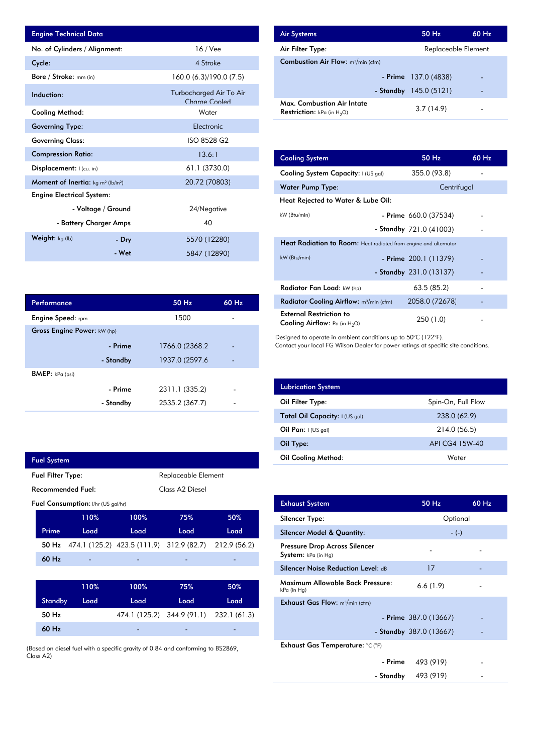| <b>Engine Technical Data</b>                       |                    |                                          | <b>Air Systems</b>                  |
|----------------------------------------------------|--------------------|------------------------------------------|-------------------------------------|
| No. of Cylinders / Alignment:                      |                    | $16$ / Vee                               | Air Filter Ty                       |
| Cycle:                                             |                    | 4 Stroke                                 | Combustion                          |
| Bore / Stroke: mm (in)                             |                    | 160.0 (6.3)/190.0 (7.5)                  |                                     |
| Induction:                                         |                    | Turbocharged Air To Air<br>Charge Cooled | Max. Comb                           |
| <b>Cooling Method:</b>                             |                    | Water                                    | <b>Restriction:</b>                 |
| <b>Governing Type:</b>                             |                    | Electronic                               |                                     |
| <b>Governing Class:</b>                            |                    | ISO 8528 G2                              |                                     |
| <b>Compression Ratio:</b>                          |                    | 13.6:1                                   | <b>Cooling Sys</b>                  |
| <b>Displacement:</b> $ $ (cu. in)                  |                    | 61.1 (3730.0)                            | <b>Cooling Sys</b>                  |
| <b>Moment of Inertia:</b> $kg \, m^2 \, (lb/in^2)$ |                    | 20.72 (70803)                            | Water Pum                           |
| <b>Engine Electrical System:</b>                   |                    |                                          | <b>Heat Reject</b>                  |
|                                                    | - Voltage / Ground | 24/Negative                              |                                     |
| - Battery Charger Amps                             |                    | 40                                       | kW (Btu/min)                        |
| Weight: kg (lb)                                    | - Dry              | 5570 (12280)                             |                                     |
|                                                    | - Wet              | 5847 (12890)                             | <b>Heat Radia</b><br>$kW$ (Btu/min) |

| <b>Air Systems</b>                                                 |  | $50$ Hz                 | $60$ Hz |
|--------------------------------------------------------------------|--|-------------------------|---------|
| Air Filter Type:                                                   |  | Replaceable Element     |         |
| <b>Combustion Air Flow:</b> $m^3/m$ in (cfm)                       |  |                         |         |
|                                                                    |  | $-$ Prime 137.0 (4838)  | -       |
|                                                                    |  | - Standby $145.0(5121)$ | -       |
| Max. Combustion Air Intate<br><b>Restriction:</b> kPa (in $H_2O$ ) |  | 3.7(14.9)               |         |

| 13.6:1         | <b>Cooling System</b>                                                     | 50 Hz                     | 60 Hz |
|----------------|---------------------------------------------------------------------------|---------------------------|-------|
| 61.1 (3730.0)  | Cooling System Capacity: I (US gal)                                       | 355.0 (93.8)              |       |
| 20.72 (70803)  | <b>Water Pump Type:</b>                                                   | Centrifugal               |       |
|                | Heat Rejected to Water & Lube Oil:                                        |                           |       |
| 24/Negative    | kW (Btu/min)                                                              | - Prime 660.0 (37534)     |       |
| 40             |                                                                           | - Standby $721.0 (41003)$ |       |
| 5570 (12280)   | Heat Radiation to Room: Heat radiated from engine and alternator          |                           |       |
| 5847 (12890)   | kW (Btu/min)                                                              | - Prime 200.1 (11379)     |       |
|                |                                                                           | - Standby $231.0(13137)$  |       |
|                | Radiator Fan Load: kW (hp)                                                | 63.5(85.2)                |       |
| 60 Hz<br>50 Hz | <b>Radiator Cooling Airflow:</b> $m^3/m$ in (cfm)                         | 2058.0 (72678)            |       |
| 1500           | <b>External Restriction to</b><br><b>Cooling Airflow:</b> Pa (in $H_2O$ ) | 250 (1.0)                 |       |

Designed to operate in ambient conditions up to 50°C (122°F).

Contact your local FG Wilson Dealer for power ratings at specific site conditions.

| <b>Lubrication System</b>      |                    |
|--------------------------------|--------------------|
| Oil Filter Type:               | Spin-On, Full Flow |
| Total Oil Capacity: I (US gal) | 238.0 (62.9)       |
| Oil Pan: $I(US gal)$           | 214.0 (56.5)       |
| Oil Type:                      | API CG4 15W-40     |
| <b>Oil Cooling Method:</b>     | Water              |

| <b>Exhaust System</b>                                  | 50 Hz                    | 60 Hz |
|--------------------------------------------------------|--------------------------|-------|
| Silencer Type:                                         | Optional                 |       |
| Silencer Model & Quantity:                             | $-(-)$                   |       |
| Pressure Drop Across Silencer<br>System: kPa (in Hg)   |                          |       |
| <b>Silencer Noise Reduction Level: dB</b>              | 17                       |       |
| <b>Maximum Allowable Back Pressure:</b><br>kPa (in Hg) | 6.6(1.9)                 |       |
| <b>Exhaust Gas Flow:</b> $m^3/m$ in (cfm)              |                          |       |
|                                                        | - Prime $387.0(13667)$   |       |
|                                                        | - Standby $387.0(13667)$ |       |
| Exhaust Gas Temperature: °C (°F)                       |                          |       |
|                                                        | $-$ Prime $493(919)$     |       |
|                                                        | - Standby $493(919)$     |       |

| Performance                 |           | 50 Hz          | $60$ Hz |
|-----------------------------|-----------|----------------|---------|
| <b>Engine Speed:</b> rpm    |           | 1500           |         |
| Gross Engine Power: kW (hp) |           |                |         |
|                             | - Prime   | 1766.0 (2368.2 |         |
|                             | - Standby | 1937.0 (2597.6 |         |
| <b>BMEP:</b> $kPa$ (psi)    |           |                |         |
|                             | - Prime   | 2311.1 (335.2) |         |
|                             | - Standby | 2535.2 (367.7) |         |
|                             |           |                |         |

I

| <b>Fuel System</b>                              |                                    |                                                                    |                 |      |
|-------------------------------------------------|------------------------------------|--------------------------------------------------------------------|-----------------|------|
| <b>Fuel Filter Type:</b><br>Replaceable Element |                                    |                                                                    |                 |      |
| <b>Recommended Fuel:</b>                        |                                    |                                                                    | Class A2 Diesel |      |
|                                                 | Fuel Consumption: I/hr (US gal/hr) |                                                                    |                 |      |
|                                                 | 110%                               | 100%                                                               | 75%             | 50%  |
| Prime                                           | Load                               | Load                                                               | Load            | Load |
|                                                 |                                    | <b>50 Hz</b> 474.1 (125.2) 423.5 (111.9) 312.9 (82.7) 212.9 (56.2) |                 |      |
| 60 Hz                                           |                                    |                                                                    |                 |      |
|                                                 |                                    |                                                                    |                 |      |
|                                                 | 110%                               | 100%                                                               | 75%             | 50%  |
| <b>Standby</b>                                  | Load                               | Load                                                               | Load            | Load |
| 50 Hz                                           |                                    | 474.1 (125.2) 344.9 (91.1) 232.1 (61.3)                            |                 |      |
| 60 Hz                                           |                                    |                                                                    |                 |      |
|                                                 |                                    |                                                                    |                 |      |

(Based on diesel fuel with a specific gravity of 0.84 and conforming to BS2869, Class A2)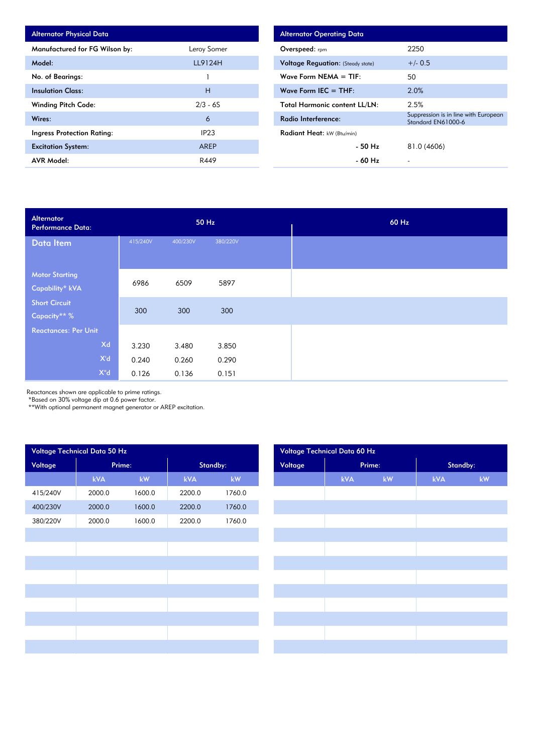| <b>Alternator Physical Data</b> |             |
|---------------------------------|-------------|
| Manufactured for FG Wilson by:  | Leroy Somer |
| Model:                          | LL9124H     |
| No. of Bearings:                |             |
| <b>Insulation Class:</b>        | н           |
| <b>Winding Pitch Code:</b>      | $2/3 - 6S$  |
| Wires:                          | 6           |
| Ingress Protection Rating:      | IP23        |
| <b>Excitation System:</b>       | AREP        |
| <b>AVR Model:</b>               | R449        |

| <b>Alternator Operating Data</b>         |                                                            |
|------------------------------------------|------------------------------------------------------------|
| <b>Overspeed:</b> rpm                    | 2250                                                       |
| <b>Voltage Reguation:</b> (Steady state) | $+/- 0.5$                                                  |
| Wave Form NEMA $=$ TIF:                  | 50                                                         |
| Wave Form IEC $=$ THF:                   | 2.0%                                                       |
| <b>Total Harmonic content LL/LN:</b>     | 2.5%                                                       |
| Radio Interference:                      | Suppression is in line with European<br>Standard EN61000-6 |
| <b>Radiant Heat:</b> kW (Btu/min)        |                                                            |
| - 50 Hz                                  | 81.0 (4606)                                                |
| - 60 Hz                                  |                                                            |

| Alternator<br><b>Performance Data:</b> |          |          | 50 Hz    |  | 60 Hz |
|----------------------------------------|----------|----------|----------|--|-------|
| Data Item                              | 415/240V | 400/230V | 380/220V |  |       |
|                                        |          |          |          |  |       |
| <b>Motor Starting</b>                  | 6986     | 6509     | 5897     |  |       |
| Capability* kVA                        |          |          |          |  |       |
| <b>Short Circuit</b>                   |          |          |          |  |       |
| Capacity** %                           | 300      | 300      | 300      |  |       |
| <b>Reactances: Per Unit</b>            |          |          |          |  |       |
| Xd                                     | 3.230    | 3.480    | 3.850    |  |       |
| X'd                                    | 0.240    | 0.260    | 0.290    |  |       |
| $X^{\mathrm{u}}d$                      | 0.126    | 0.136    | 0.151    |  |       |

Reactances shown are applicable to prime ratings.

\*Based on 30% voltage dip at 0.6 power factor.

\*\*With optional permanent magnet generator or AREP excitation.

| Voltage Technical Data 50 Hz |            |        |          |        |         | Voltage Technical Data 60 Hz |        |          |
|------------------------------|------------|--------|----------|--------|---------|------------------------------|--------|----------|
| Voltage                      | Prime:     |        | Standby: |        | Voltage |                              | Prime: | Standby: |
|                              | <b>kVA</b> | kW     | kVA      | kW     |         | kVA                          | kW     | kVA      |
| 415/240V                     | 2000.0     | 1600.0 | 2200.0   | 1760.0 |         |                              |        |          |
| 400/230V                     | 2000.0     | 1600.0 | 2200.0   | 1760.0 |         |                              |        |          |
| 380/220V                     | 2000.0     | 1600.0 | 2200.0   | 1760.0 |         |                              |        |          |
|                              |            |        |          |        |         |                              |        |          |
|                              |            |        |          |        |         |                              |        |          |
|                              |            |        |          |        |         |                              |        |          |
|                              |            |        |          |        |         |                              |        |          |
|                              |            |        |          |        |         |                              |        |          |
|                              |            |        |          |        |         |                              |        |          |
|                              |            |        |          |        |         |                              |        |          |
|                              |            |        |          |        |         |                              |        |          |
|                              |            |        |          |        |         |                              |        |          |